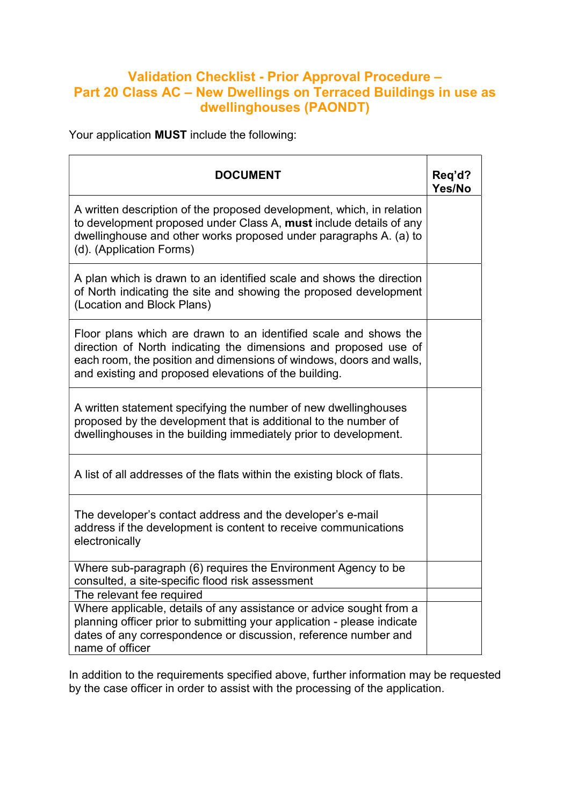## Validation Checklist - Prior Approval Procedure – Part 20 Class AC – New Dwellings on Terraced Buildings in use as dwellinghouses (PAONDT)

Your application MUST include the following:

| <b>DOCUMENT</b>                                                                                                                                                                                                                                                      | Req'd?<br>Yes/No |
|----------------------------------------------------------------------------------------------------------------------------------------------------------------------------------------------------------------------------------------------------------------------|------------------|
| A written description of the proposed development, which, in relation<br>to development proposed under Class A, must include details of any<br>dwellinghouse and other works proposed under paragraphs A. (a) to<br>(d). (Application Forms)                         |                  |
| A plan which is drawn to an identified scale and shows the direction<br>of North indicating the site and showing the proposed development<br>(Location and Block Plans)                                                                                              |                  |
| Floor plans which are drawn to an identified scale and shows the<br>direction of North indicating the dimensions and proposed use of<br>each room, the position and dimensions of windows, doors and walls,<br>and existing and proposed elevations of the building. |                  |
| A written statement specifying the number of new dwellinghouses<br>proposed by the development that is additional to the number of<br>dwellinghouses in the building immediately prior to development.                                                               |                  |
| A list of all addresses of the flats within the existing block of flats.                                                                                                                                                                                             |                  |
| The developer's contact address and the developer's e-mail<br>address if the development is content to receive communications<br>electronically                                                                                                                      |                  |
| Where sub-paragraph (6) requires the Environment Agency to be<br>consulted, a site-specific flood risk assessment                                                                                                                                                    |                  |
| The relevant fee required                                                                                                                                                                                                                                            |                  |
| Where applicable, details of any assistance or advice sought from a<br>planning officer prior to submitting your application - please indicate<br>dates of any correspondence or discussion, reference number and<br>name of officer                                 |                  |

In addition to the requirements specified above, further information may be requested by the case officer in order to assist with the processing of the application.